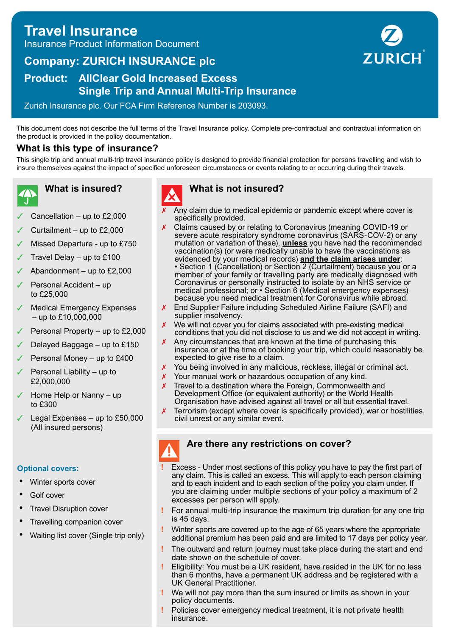# **Travel Insurance**

Insurance Product Information Document

# **Company: ZURICH INSURANCE plc**

# **Product: AllClear Gold Increased Excess Single Trip and Annual Multi-Trip Insurance**

Zurich Insurance plc. Our FCA Firm Reference Number is 203093.

This document does not describe the full terms of the Travel Insurance policy. Complete pre-contractual and contractual information on the product is provided in the policy documentation.

# **What is this type of insurance?**

This single trip and annual multi-trip travel insurance policy is designed to provide financial protection for persons travelling and wish to insure themselves against the impact of specified unforeseen circumstances or events relating to or occurring during their travels.

**What is insured?**

- Cancellation up to  $£2,000$
- Curtailment up to  $£2,000$
- Missed Departure up to £750
- Travel Delay up to  $£100$
- Abandonment up to  $£2,000$
- Personal Accident up to £25,000
- **Medical Emergency Expenses** – up to £10,000,000
- Personal Property up to  $£2,000$
- Delayed Baggage up to £150
- Personal Money up to £400
- Personal Liability up to £2,000,000
- Home Help or Nanny up to £300
- Legal Expenses up to £50,000 (All insured persons)

#### **Optional covers:**

- Winter sports cover
- Golf cover
- **Travel Disruption cover**
- Travelling companion cover
- Waiting list cover (Single trip only)



# **What is not insured?**

- Any claim due to medical epidemic or pandemic except where cover is specifically provided.
- Claims caused by or relating to Coronavirus (meaning COVID-19 or severe acute respiratory syndrome coronavirus (SARS-COV-2) or any mutation or variation of these), **unless** you have had the recommended vaccination(s) (or were medically unable to have the vaccinations as evidenced by your medical records) **and the claim arises under**: • Section 1 (Cancellation) or Section 2 (Curtailment) because you or a member of your family or travelling party are medically diagnosed with Coronavirus or personally instructed to isolate by an NHS service or medical professional; or • Section 6 (Medical emergency expenses) because you need medical treatment for Coronavirus while abroad.
- ✗ End Supplier Failure including Scheduled Airline Failure (SAFI) and supplier insolvency.
- We will not cover you for claims associated with pre-existing medical conditions that you did not disclose to us and we did not accept in writing.
- $x$  Any circumstances that are known at the time of purchasing this insurance or at the time of booking your trip, which could reasonably be expected to give rise to a claim.
- X You being involved in any malicious, reckless, illegal or criminal act.
- X Your manual work or hazardous occupation of any kind.
- Travel to a destination where the Foreign, Commonwealth and Development Office (or equivalent authority) or the World Health Organisation have advised against all travel or all but essential travel.
- Terrorism (except where cover is specifically provided), war or hostilities, civil unrest or any similar event.

# **Are there any restrictions on cover?**

- **!** Excess Under most sections of this policy you have to pay the first part of any claim. This is called an excess. This will apply to each person claiming and to each incident and to each section of the policy you claim under. If you are claiming under multiple sections of your policy a maximum of 2 excesses per person will apply.
- **!** For annual multi-trip insurance the maximum trip duration for any one trip is 45 days.
- **!** Winter sports are covered up to the age of 65 years where the appropriate additional premium has been paid and are limited to 17 days per policy year.
- **!** The outward and return journey must take place during the start and end date shown on the schedule of cover.
- **!** Eligibility: You must be a UK resident, have resided in the UK for no less than 6 months, have a permanent UK address and be registered with a UK General Practitioner.
- **!** We will not pay more than the sum insured or limits as shown in your policy documents.
- **!** Policies cover emergency medical treatment, it is not private health insurance.